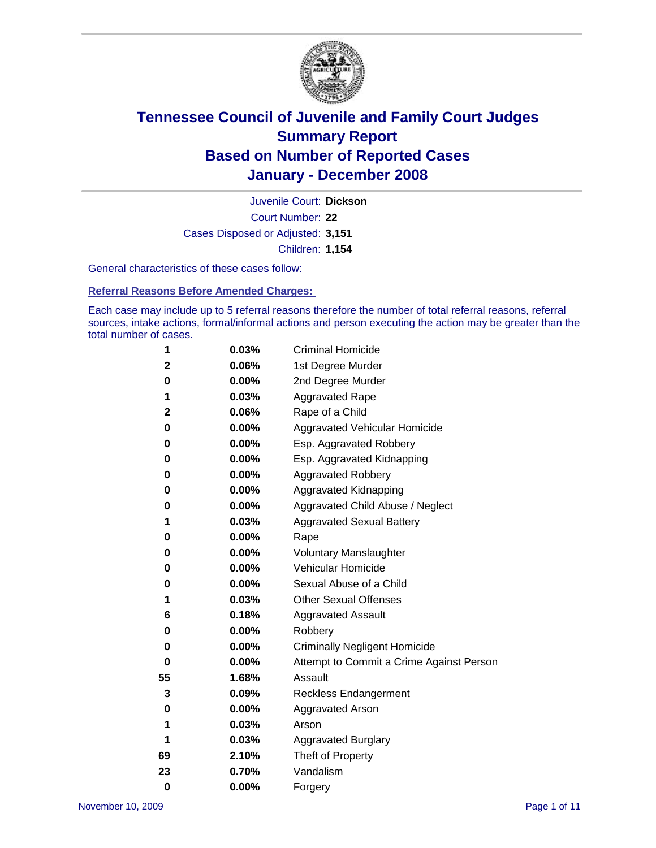

Court Number: **22** Juvenile Court: **Dickson** Cases Disposed or Adjusted: **3,151** Children: **1,154**

General characteristics of these cases follow:

**Referral Reasons Before Amended Charges:** 

Each case may include up to 5 referral reasons therefore the number of total referral reasons, referral sources, intake actions, formal/informal actions and person executing the action may be greater than the total number of cases.

| 1        | 0.03%    | <b>Criminal Homicide</b>                 |  |  |
|----------|----------|------------------------------------------|--|--|
| 2        | 0.06%    | 1st Degree Murder                        |  |  |
| 0        | 0.00%    | 2nd Degree Murder                        |  |  |
| 1        | 0.03%    | <b>Aggravated Rape</b>                   |  |  |
| 2        | 0.06%    | Rape of a Child                          |  |  |
| 0        | 0.00%    | Aggravated Vehicular Homicide            |  |  |
| 0        | 0.00%    | Esp. Aggravated Robbery                  |  |  |
| 0        | 0.00%    | Esp. Aggravated Kidnapping               |  |  |
| 0        | 0.00%    | <b>Aggravated Robbery</b>                |  |  |
| 0        | 0.00%    | Aggravated Kidnapping                    |  |  |
| 0        | 0.00%    | Aggravated Child Abuse / Neglect         |  |  |
| 1        | 0.03%    | <b>Aggravated Sexual Battery</b>         |  |  |
| 0        | 0.00%    | Rape                                     |  |  |
| 0        | $0.00\%$ | <b>Voluntary Manslaughter</b>            |  |  |
| 0        | 0.00%    | Vehicular Homicide                       |  |  |
| 0        | 0.00%    | Sexual Abuse of a Child                  |  |  |
| 1        | 0.03%    | <b>Other Sexual Offenses</b>             |  |  |
| 6        | 0.18%    | <b>Aggravated Assault</b>                |  |  |
| 0        | 0.00%    | Robbery                                  |  |  |
| 0        | $0.00\%$ | <b>Criminally Negligent Homicide</b>     |  |  |
| 0        | 0.00%    | Attempt to Commit a Crime Against Person |  |  |
| 55       | 1.68%    | Assault                                  |  |  |
| 3        | 0.09%    | <b>Reckless Endangerment</b>             |  |  |
| 0        | 0.00%    | <b>Aggravated Arson</b>                  |  |  |
| 1        | 0.03%    | Arson                                    |  |  |
| 1        | 0.03%    | <b>Aggravated Burglary</b>               |  |  |
| 69       | 2.10%    | Theft of Property                        |  |  |
| 23       | 0.70%    | Vandalism                                |  |  |
| $\bf{0}$ | 0.00%    | Forgery                                  |  |  |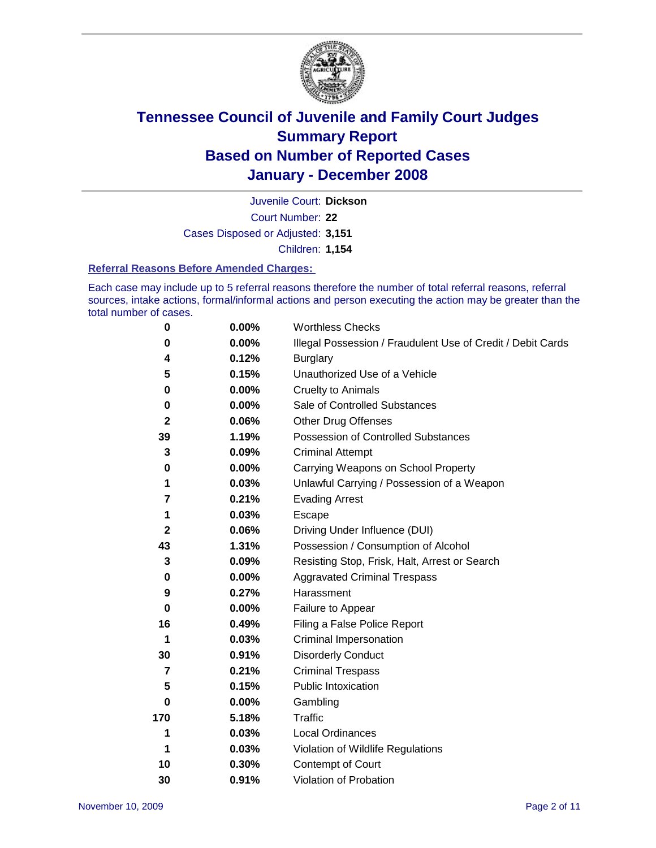

Court Number: **22** Juvenile Court: **Dickson** Cases Disposed or Adjusted: **3,151** Children: **1,154**

#### **Referral Reasons Before Amended Charges:**

Each case may include up to 5 referral reasons therefore the number of total referral reasons, referral sources, intake actions, formal/informal actions and person executing the action may be greater than the total number of cases.

| 0              | 0.00%    | <b>Worthless Checks</b>                                     |
|----------------|----------|-------------------------------------------------------------|
| 0              | 0.00%    | Illegal Possession / Fraudulent Use of Credit / Debit Cards |
| 4              | 0.12%    | <b>Burglary</b>                                             |
| 5              | 0.15%    | Unauthorized Use of a Vehicle                               |
| $\bf{0}$       | 0.00%    | <b>Cruelty to Animals</b>                                   |
| 0              | $0.00\%$ | Sale of Controlled Substances                               |
| $\mathbf{2}$   | 0.06%    | <b>Other Drug Offenses</b>                                  |
| 39             | 1.19%    | Possession of Controlled Substances                         |
| 3              | 0.09%    | <b>Criminal Attempt</b>                                     |
| 0              | 0.00%    | Carrying Weapons on School Property                         |
| 1              | 0.03%    | Unlawful Carrying / Possession of a Weapon                  |
| 7              | 0.21%    | <b>Evading Arrest</b>                                       |
| 1              | 0.03%    | Escape                                                      |
| $\mathbf{2}$   | 0.06%    | Driving Under Influence (DUI)                               |
| 43             | 1.31%    | Possession / Consumption of Alcohol                         |
| 3              | 0.09%    | Resisting Stop, Frisk, Halt, Arrest or Search               |
| 0              | $0.00\%$ | <b>Aggravated Criminal Trespass</b>                         |
| 9              | 0.27%    | Harassment                                                  |
| $\bf{0}$       | 0.00%    | Failure to Appear                                           |
| 16             | 0.49%    | Filing a False Police Report                                |
| 1              | 0.03%    | Criminal Impersonation                                      |
| 30             | 0.91%    | <b>Disorderly Conduct</b>                                   |
| $\overline{7}$ | 0.21%    | <b>Criminal Trespass</b>                                    |
| 5              | 0.15%    | <b>Public Intoxication</b>                                  |
| 0              | 0.00%    | Gambling                                                    |
| 170            | 5.18%    | Traffic                                                     |
| 1              | 0.03%    | <b>Local Ordinances</b>                                     |
| 1              | 0.03%    | Violation of Wildlife Regulations                           |
| 10             | 0.30%    | Contempt of Court                                           |
| 30             | 0.91%    | Violation of Probation                                      |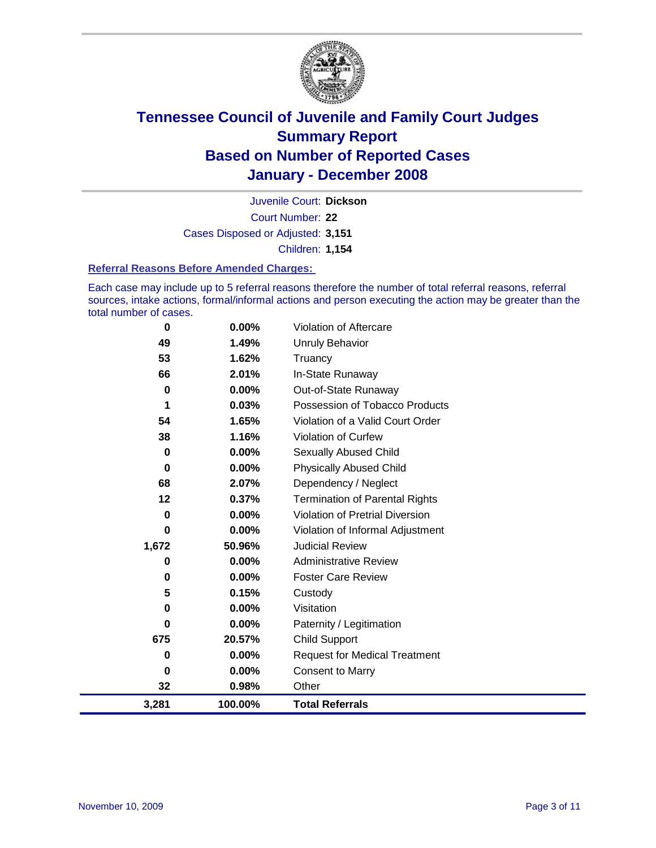

Court Number: **22** Juvenile Court: **Dickson** Cases Disposed or Adjusted: **3,151** Children: **1,154**

#### **Referral Reasons Before Amended Charges:**

Each case may include up to 5 referral reasons therefore the number of total referral reasons, referral sources, intake actions, formal/informal actions and person executing the action may be greater than the total number of cases.

| 3,281    | 100.00%  | <b>Total Referrals</b>                 |
|----------|----------|----------------------------------------|
| 32       | 0.98%    | Other                                  |
| 0        | 0.00%    | <b>Consent to Marry</b>                |
| 0        | 0.00%    | <b>Request for Medical Treatment</b>   |
| 675      | 20.57%   | <b>Child Support</b>                   |
| 0        | $0.00\%$ | Paternity / Legitimation               |
| 0        | $0.00\%$ | Visitation                             |
| 5        | 0.15%    | Custody                                |
| 0        | 0.00%    | <b>Foster Care Review</b>              |
| 0        | 0.00%    | <b>Administrative Review</b>           |
| 1,672    | 50.96%   | <b>Judicial Review</b>                 |
| 0        | 0.00%    | Violation of Informal Adjustment       |
| 0        | 0.00%    | <b>Violation of Pretrial Diversion</b> |
| 12       | 0.37%    | <b>Termination of Parental Rights</b>  |
| 68       | 2.07%    | Dependency / Neglect                   |
| $\bf{0}$ | 0.00%    | <b>Physically Abused Child</b>         |
| 0        | 0.00%    | <b>Sexually Abused Child</b>           |
| 38       | 1.16%    | Violation of Curfew                    |
| 54       | 1.65%    | Violation of a Valid Court Order       |
| 1        | 0.03%    | Possession of Tobacco Products         |
| 0        | 0.00%    | Out-of-State Runaway                   |
| 66       | 2.01%    | In-State Runaway                       |
| 53       | 1.62%    | Truancy                                |
| 49       | 1.49%    | <b>Unruly Behavior</b>                 |
| $\bf{0}$ | 0.00%    | Violation of Aftercare                 |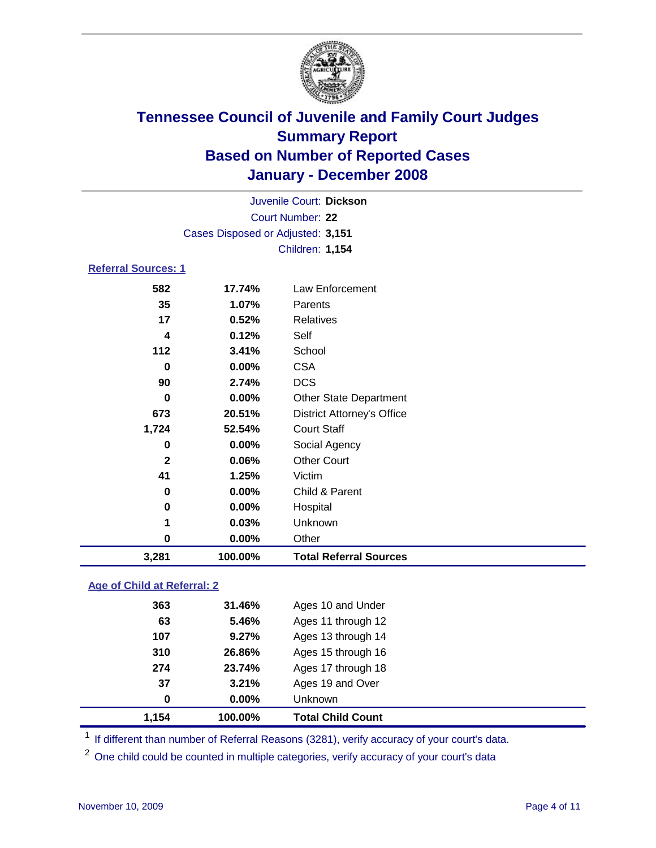

|                            |                                   | Juvenile Court: Dickson |  |
|----------------------------|-----------------------------------|-------------------------|--|
|                            |                                   | Court Number: 22        |  |
|                            | Cases Disposed or Adjusted: 3,151 |                         |  |
|                            |                                   | <b>Children: 1,154</b>  |  |
| <b>Referral Sources: 1</b> |                                   |                         |  |
| 582                        | 17.74%                            | Law Enforcement         |  |
| 35                         | 1.07%                             | Parents                 |  |
| 17                         | 0.52%                             | <b>Relatives</b>        |  |
| 4                          | 0.12%                             | Self                    |  |

| 3,281        | 100.00% | <b>Total Referral Sources</b>     |
|--------------|---------|-----------------------------------|
| 0            | 0.00%   | Other                             |
| 1            | 0.03%   | Unknown                           |
| 0            | 0.00%   | Hospital                          |
| 0            | 0.00%   | Child & Parent                    |
| 41           | 1.25%   | Victim                            |
| $\mathbf{2}$ | 0.06%   | <b>Other Court</b>                |
| 0            | 0.00%   | Social Agency                     |
| 1,724        | 52.54%  | <b>Court Staff</b>                |
| 673          | 20.51%  | <b>District Attorney's Office</b> |
| 0            | 0.00%   | <b>Other State Department</b>     |
| 90           | 2.74%   | <b>DCS</b>                        |
| 0            | 0.00%   | <b>CSA</b>                        |
| 112          | 3.41%   | School                            |
|              |         |                                   |

### **Age of Child at Referral: 2**

| 1.154 | 100.00% | <b>Total Child Count</b> |
|-------|---------|--------------------------|
| 0     | 0.00%   | Unknown                  |
| 37    | 3.21%   | Ages 19 and Over         |
| 274   | 23.74%  | Ages 17 through 18       |
| 310   | 26.86%  | Ages 15 through 16       |
| 107   | 9.27%   | Ages 13 through 14       |
| 63    | 5.46%   | Ages 11 through 12       |
| 363   | 31.46%  | Ages 10 and Under        |
|       |         |                          |

<sup>1</sup> If different than number of Referral Reasons (3281), verify accuracy of your court's data.

<sup>2</sup> One child could be counted in multiple categories, verify accuracy of your court's data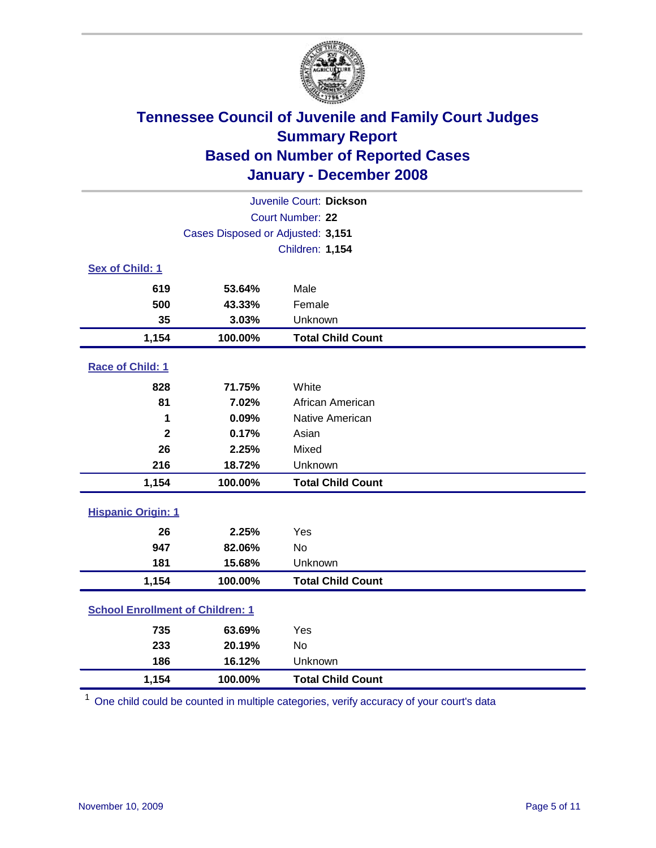

| Juvenile Court: Dickson                 |                                   |                          |  |  |  |
|-----------------------------------------|-----------------------------------|--------------------------|--|--|--|
| Court Number: 22                        |                                   |                          |  |  |  |
|                                         | Cases Disposed or Adjusted: 3,151 |                          |  |  |  |
|                                         |                                   | <b>Children: 1,154</b>   |  |  |  |
| Sex of Child: 1                         |                                   |                          |  |  |  |
| 619                                     | 53.64%                            | Male                     |  |  |  |
| 500                                     | 43.33%                            | Female                   |  |  |  |
| 35                                      | 3.03%                             | Unknown                  |  |  |  |
| 1,154                                   | 100.00%                           | <b>Total Child Count</b> |  |  |  |
| Race of Child: 1                        |                                   |                          |  |  |  |
| 828                                     | 71.75%                            | White                    |  |  |  |
| 81                                      | 7.02%                             | African American         |  |  |  |
| 1                                       | 0.09%                             | Native American          |  |  |  |
| $\overline{\mathbf{2}}$                 | 0.17%                             | Asian                    |  |  |  |
| 26                                      | 2.25%                             | Mixed                    |  |  |  |
| 216                                     | 18.72%                            | Unknown                  |  |  |  |
| 1,154                                   | 100.00%                           | <b>Total Child Count</b> |  |  |  |
| <b>Hispanic Origin: 1</b>               |                                   |                          |  |  |  |
| 26                                      | 2.25%                             | Yes                      |  |  |  |
| 947                                     | 82.06%                            | <b>No</b>                |  |  |  |
| 181                                     | 15.68%                            | Unknown                  |  |  |  |
| 1,154                                   | 100.00%                           | <b>Total Child Count</b> |  |  |  |
| <b>School Enrollment of Children: 1</b> |                                   |                          |  |  |  |
| 735                                     | 63.69%                            | Yes                      |  |  |  |
| 233                                     | 20.19%                            | <b>No</b>                |  |  |  |
| 186                                     | 16.12%                            | Unknown                  |  |  |  |
| 1,154                                   | 100.00%                           | <b>Total Child Count</b> |  |  |  |

<sup>1</sup> One child could be counted in multiple categories, verify accuracy of your court's data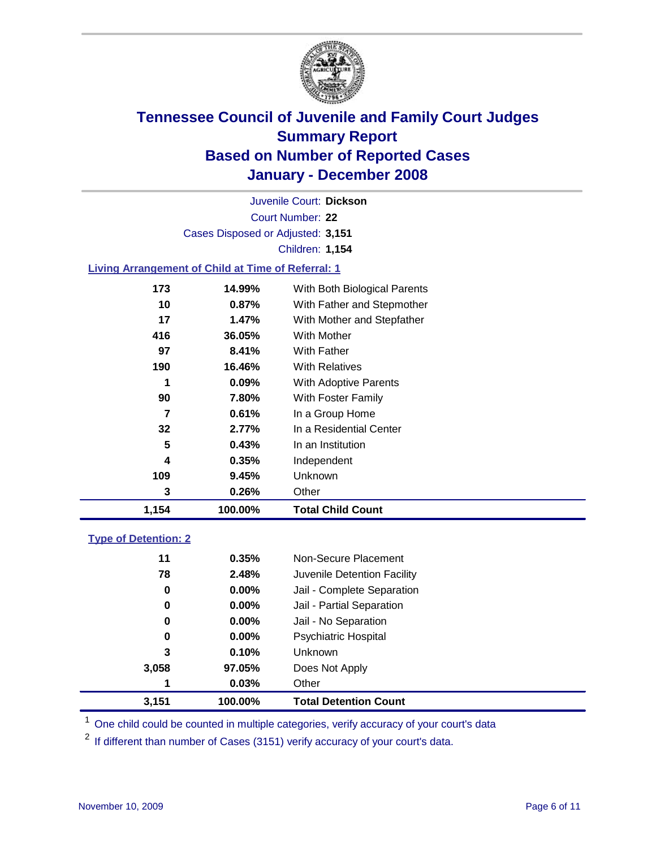

Court Number: **22** Juvenile Court: **Dickson** Cases Disposed or Adjusted: **3,151** Children: **1,154**

### **Living Arrangement of Child at Time of Referral: 1**

| 1,154 | 100.00%  | <b>Total Child Count</b>     |
|-------|----------|------------------------------|
| 3     | 0.26%    | Other                        |
| 109   | 9.45%    | Unknown                      |
| 4     | $0.35\%$ | Independent                  |
| 5     | 0.43%    | In an Institution            |
| 32    | 2.77%    | In a Residential Center      |
| 7     | 0.61%    | In a Group Home              |
| 90    | 7.80%    | With Foster Family           |
| 1     | 0.09%    | <b>With Adoptive Parents</b> |
| 190   | 16.46%   | <b>With Relatives</b>        |
| 97    | 8.41%    | With Father                  |
| 416   | 36.05%   | With Mother                  |
| 17    | 1.47%    | With Mother and Stepfather   |
| 10    | 0.87%    | With Father and Stepmother   |
| 173   | 14.99%   | With Both Biological Parents |
|       |          |                              |

### **Type of Detention: 2**

| 3,151 | 100.00%  | <b>Total Detention Count</b> |
|-------|----------|------------------------------|
| 1     | 0.03%    | Other                        |
| 3,058 | 97.05%   | Does Not Apply               |
| 3     | 0.10%    | Unknown                      |
| 0     | 0.00%    | <b>Psychiatric Hospital</b>  |
| 0     | $0.00\%$ | Jail - No Separation         |
| 0     | $0.00\%$ | Jail - Partial Separation    |
| 0     | $0.00\%$ | Jail - Complete Separation   |
| 78    | 2.48%    | Juvenile Detention Facility  |
| 11    | 0.35%    | Non-Secure Placement         |
|       |          |                              |

<sup>1</sup> One child could be counted in multiple categories, verify accuracy of your court's data

<sup>2</sup> If different than number of Cases (3151) verify accuracy of your court's data.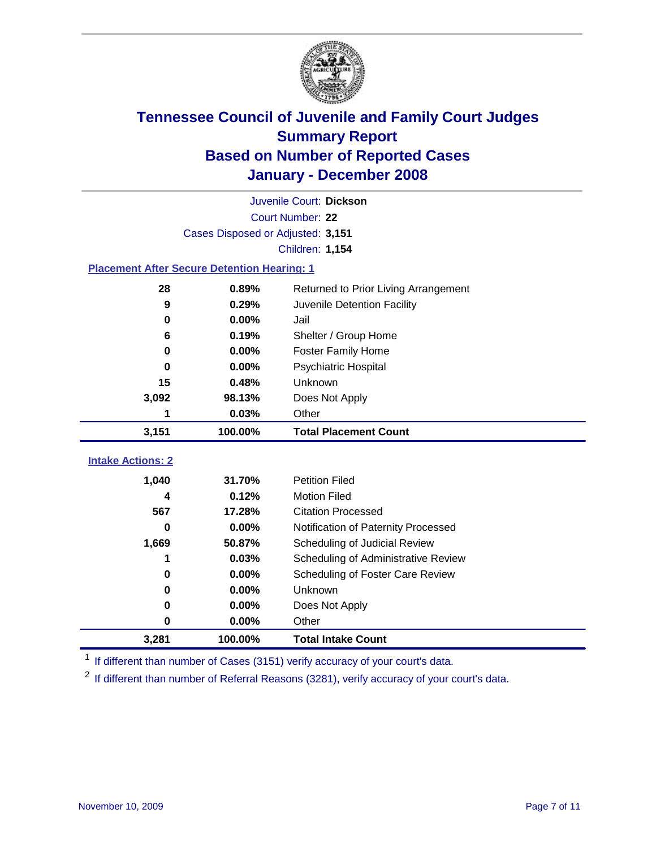

|                                                    | Juvenile Court: Dickson           |                                      |  |  |  |
|----------------------------------------------------|-----------------------------------|--------------------------------------|--|--|--|
|                                                    | Court Number: 22                  |                                      |  |  |  |
|                                                    | Cases Disposed or Adjusted: 3,151 |                                      |  |  |  |
|                                                    |                                   | <b>Children: 1,154</b>               |  |  |  |
| <b>Placement After Secure Detention Hearing: 1</b> |                                   |                                      |  |  |  |
| 28                                                 | 0.89%                             | Returned to Prior Living Arrangement |  |  |  |
| 9                                                  | 0.29%                             | Juvenile Detention Facility          |  |  |  |
| $\bf{0}$                                           | 0.00%                             | Jail                                 |  |  |  |
| 6                                                  | 0.19%                             | Shelter / Group Home                 |  |  |  |
| 0                                                  | 0.00%                             | <b>Foster Family Home</b>            |  |  |  |
| $\bf{0}$                                           | 0.00%                             | Psychiatric Hospital                 |  |  |  |
| 15                                                 | 0.48%                             | Unknown                              |  |  |  |
| 3,092                                              | 98.13%                            | Does Not Apply                       |  |  |  |
| 1                                                  | 0.03%                             | Other                                |  |  |  |
| 3,151                                              | 100.00%                           | <b>Total Placement Count</b>         |  |  |  |
|                                                    |                                   |                                      |  |  |  |
| <b>Intake Actions: 2</b>                           |                                   |                                      |  |  |  |
| 1,040                                              | 31.70%                            | <b>Petition Filed</b>                |  |  |  |
| 4                                                  | 0.12%                             | <b>Motion Filed</b>                  |  |  |  |
| 567                                                | 17.28%                            | <b>Citation Processed</b>            |  |  |  |
| U                                                  | 0.00%                             | Notification of Paternity Processed  |  |  |  |
| 1,669                                              | 50.87%                            | Scheduling of Judicial Review        |  |  |  |
| 1                                                  | 0.03%                             | Scheduling of Administrative Review  |  |  |  |
| 0                                                  | 0.00%                             | Scheduling of Foster Care Review     |  |  |  |
| 0                                                  | 0.00%                             | Unknown                              |  |  |  |
| 0                                                  | 0.00%                             | Does Not Apply                       |  |  |  |
|                                                    |                                   |                                      |  |  |  |
| 0                                                  | 0.00%                             | Other                                |  |  |  |

<sup>1</sup> If different than number of Cases (3151) verify accuracy of your court's data.

<sup>2</sup> If different than number of Referral Reasons (3281), verify accuracy of your court's data.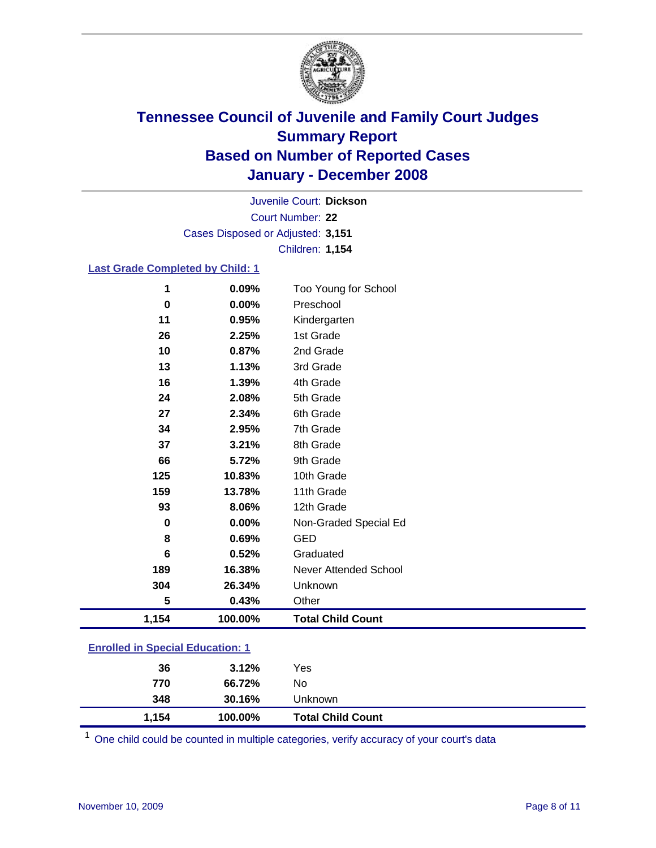

Court Number: **22** Juvenile Court: **Dickson** Cases Disposed or Adjusted: **3,151** Children: **1,154**

### **Last Grade Completed by Child: 1**

| 1     | 0.09%   | Too Young for School     |
|-------|---------|--------------------------|
| 0     | 0.00%   | Preschool                |
| 11    | 0.95%   | Kindergarten             |
| 26    | 2.25%   | 1st Grade                |
| 10    | 0.87%   | 2nd Grade                |
| 13    | 1.13%   | 3rd Grade                |
| 16    | 1.39%   | 4th Grade                |
| 24    | 2.08%   | 5th Grade                |
| 27    | 2.34%   | 6th Grade                |
| 34    | 2.95%   | 7th Grade                |
| 37    | 3.21%   | 8th Grade                |
| 66    | 5.72%   | 9th Grade                |
| 125   | 10.83%  | 10th Grade               |
| 159   | 13.78%  | 11th Grade               |
| 93    | 8.06%   | 12th Grade               |
| 0     | 0.00%   | Non-Graded Special Ed    |
| 8     | 0.69%   | <b>GED</b>               |
| 6     | 0.52%   | Graduated                |
| 189   | 16.38%  | Never Attended School    |
| 304   | 26.34%  | Unknown                  |
| 5     | 0.43%   | Other                    |
| 1,154 | 100.00% | <b>Total Child Count</b> |

### **Enrolled in Special Education: 1**

| 36<br>770 | 3.12%<br>66.72% | Yes<br>No                |
|-----------|-----------------|--------------------------|
| 348       | 30.16%          | Unknown                  |
| 1,154     | 100.00%         | <b>Total Child Count</b> |

<sup>1</sup> One child could be counted in multiple categories, verify accuracy of your court's data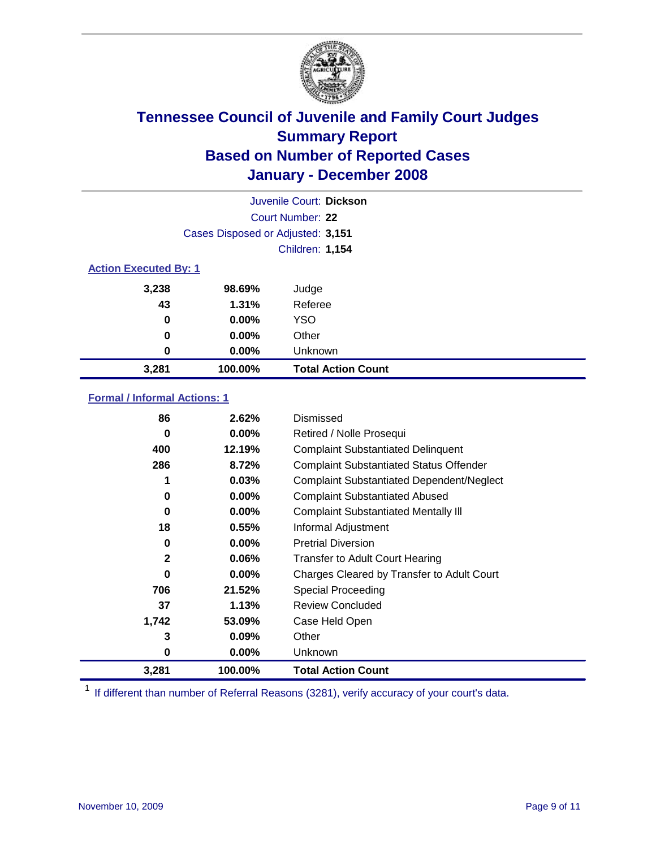

|                              |                                   | Juvenile Court: Dickson   |
|------------------------------|-----------------------------------|---------------------------|
|                              |                                   | Court Number: 22          |
|                              | Cases Disposed or Adjusted: 3,151 |                           |
|                              |                                   | <b>Children: 1,154</b>    |
| <b>Action Executed By: 1</b> |                                   |                           |
| 3,238                        | 98.69%                            | Judge                     |
| 43                           | 1.31%                             | Referee                   |
| 0                            | $0.00\%$                          | <b>YSO</b>                |
| 0                            | $0.00\%$                          | Other                     |
| 0                            | $0.00\%$                          | Unknown                   |
| 3,281                        | 100.00%                           | <b>Total Action Count</b> |

### **Formal / Informal Actions: 1**

| 86           | 2.62%    | Dismissed                                        |
|--------------|----------|--------------------------------------------------|
| 0            | $0.00\%$ | Retired / Nolle Prosequi                         |
| 400          | 12.19%   | <b>Complaint Substantiated Delinquent</b>        |
| 286          | 8.72%    | <b>Complaint Substantiated Status Offender</b>   |
| 1            | 0.03%    | <b>Complaint Substantiated Dependent/Neglect</b> |
| 0            | $0.00\%$ | <b>Complaint Substantiated Abused</b>            |
| 0            | $0.00\%$ | <b>Complaint Substantiated Mentally III</b>      |
| 18           | 0.55%    | Informal Adjustment                              |
| 0            | $0.00\%$ | <b>Pretrial Diversion</b>                        |
| $\mathbf{2}$ | $0.06\%$ | <b>Transfer to Adult Court Hearing</b>           |
| 0            | $0.00\%$ | Charges Cleared by Transfer to Adult Court       |
| 706          | 21.52%   | Special Proceeding                               |
| 37           | 1.13%    | <b>Review Concluded</b>                          |
| 1,742        | 53.09%   | Case Held Open                                   |
| 3            | 0.09%    | Other                                            |
| 0            | $0.00\%$ | <b>Unknown</b>                                   |
| 3,281        | 100.00%  | <b>Total Action Count</b>                        |

<sup>1</sup> If different than number of Referral Reasons (3281), verify accuracy of your court's data.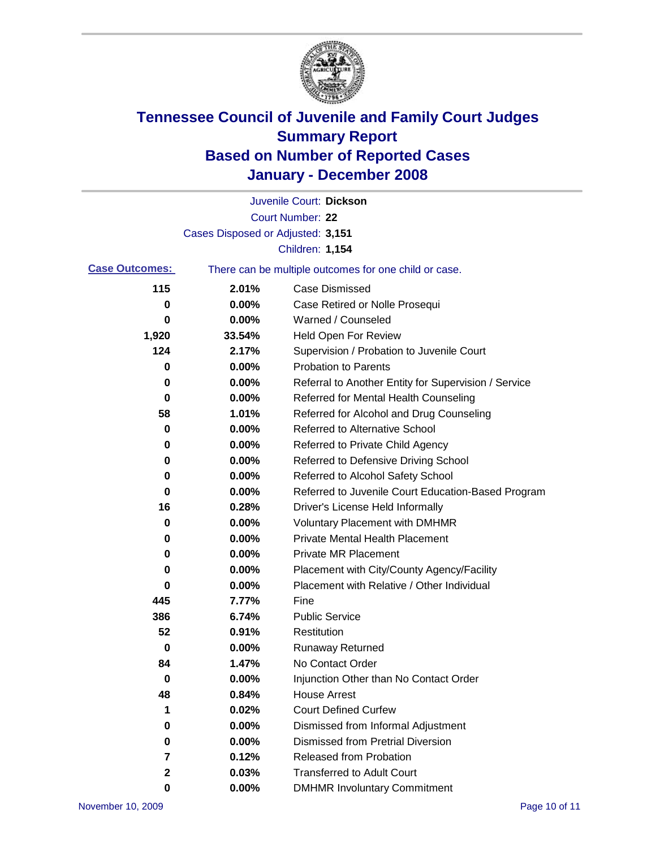

|                       |                                   | Juvenile Court: Dickson                               |
|-----------------------|-----------------------------------|-------------------------------------------------------|
|                       |                                   | Court Number: 22                                      |
|                       | Cases Disposed or Adjusted: 3,151 |                                                       |
|                       |                                   | <b>Children: 1,154</b>                                |
| <b>Case Outcomes:</b> |                                   | There can be multiple outcomes for one child or case. |
| 115                   | 2.01%                             | <b>Case Dismissed</b>                                 |
| 0                     | 0.00%                             | Case Retired or Nolle Prosequi                        |
| 0                     | 0.00%                             | Warned / Counseled                                    |
| 1,920                 | 33.54%                            | Held Open For Review                                  |
| 124                   | 2.17%                             | Supervision / Probation to Juvenile Court             |
| 0                     | 0.00%                             | <b>Probation to Parents</b>                           |
| 0                     | 0.00%                             | Referral to Another Entity for Supervision / Service  |
| 0                     | 0.00%                             | Referred for Mental Health Counseling                 |
| 58                    | 1.01%                             | Referred for Alcohol and Drug Counseling              |
| 0                     | 0.00%                             | <b>Referred to Alternative School</b>                 |
| 0                     | 0.00%                             | Referred to Private Child Agency                      |
| 0                     | 0.00%                             | Referred to Defensive Driving School                  |
| 0                     | 0.00%                             | Referred to Alcohol Safety School                     |
| 0                     | 0.00%                             | Referred to Juvenile Court Education-Based Program    |
| 16                    | 0.28%                             | Driver's License Held Informally                      |
| 0                     | 0.00%                             | <b>Voluntary Placement with DMHMR</b>                 |
| 0                     | 0.00%                             | <b>Private Mental Health Placement</b>                |
| 0                     | 0.00%                             | <b>Private MR Placement</b>                           |
| 0                     | 0.00%                             | Placement with City/County Agency/Facility            |
| 0                     | 0.00%                             | Placement with Relative / Other Individual            |
| 445                   | 7.77%                             | Fine                                                  |
| 386                   | 6.74%                             | <b>Public Service</b>                                 |
| 52                    | 0.91%                             | Restitution                                           |
| 0                     | 0.00%                             | <b>Runaway Returned</b>                               |
| 84                    | 1.47%                             | No Contact Order                                      |
| $\boldsymbol{0}$      | 0.00%                             | Injunction Other than No Contact Order                |
| 48                    | 0.84%                             | <b>House Arrest</b>                                   |
| 1                     | 0.02%                             | <b>Court Defined Curfew</b>                           |
| 0                     | 0.00%                             | Dismissed from Informal Adjustment                    |
| $\mathbf 0$           | 0.00%                             | <b>Dismissed from Pretrial Diversion</b>              |
| 7                     | 0.12%                             | Released from Probation                               |
| 2                     | 0.03%                             | <b>Transferred to Adult Court</b>                     |
| 0                     | $0.00\%$                          | <b>DMHMR Involuntary Commitment</b>                   |